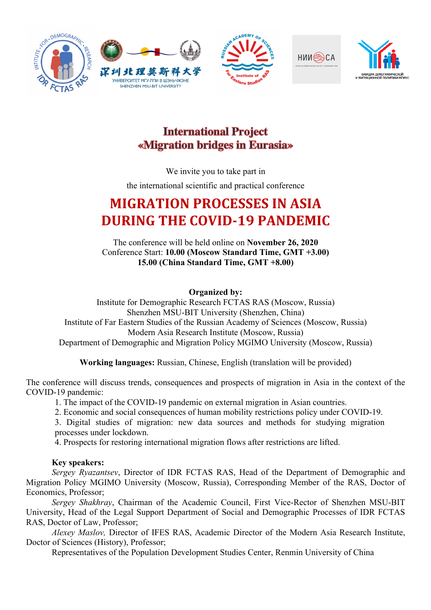









## **International Project** «Migration bridges in Eurasia»

We invite you to take part in

the international scientific and practical conference

# **MIGRATION PROCESSES IN ASIA DURING THE COVID-19 PANDEMIC**

The conference will be held online on **November 26, 2020** Conference Start: **10.00 (Moscow Standard Time, GMT +3.00) 15.00 (China Standard Time, GMT +8.00)**

**Organized by:**

Institute for Demographic Research FCTAS RAS (Moscow, Russia) Shenzhen MSU-BIT University (Shenzhen, China) Institute of Far Eastern Studies of the Russian Academy of Sciences (Moscow, Russia) Modern Asia Research Institute (Moscow, Russia) Department of Demographic and Migration Policy MGIMO University (Moscow, Russia)

**Working languages:** Russian, Chinese, English (translation will be provided)

The conference will discuss trends, consequences and prospects of migration in Asia in the context of the COVID-19 pandemic:

1. The impact of the COVID-19 pandemic on external migration in Asian countries.

2. Economic and social consequences of human mobility restrictions policy under COVID-19.

3. Digital studies of migration: new data sources and methods for studying migration processes under lockdown.

4. Prospects for restoring international migration flows after restrictions are lifted.

#### **Key speakers:**

*Sergey Ryazantsev*, Director of IDR FCTAS RAS, Head of the Department of Demographic and Migration Policy MGIMO University (Moscow, Russia), Corresponding Member of the RAS, Doctor of Economics, Professor;

*Sergey Shakhray*, Chairman of the Academic Council, First Vice-Rector of Shenzhen MSU-BIT University, Head of the Legal Support Department of Social and Demographic Processes of IDR FCTAS RAS, Doctor of Law, Professor;

*Alexey Maslov,* Director of IFES RAS, Academic Director of the Modern Asia Research Institute, Doctor of Sciences (History), Professor;

Representatives of the Population Development Studies Center, Renmin University of China